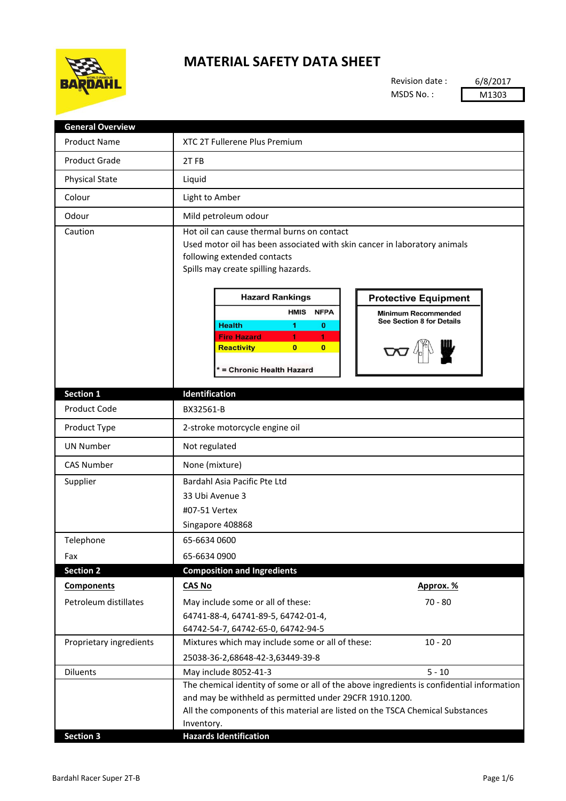

## **MATERIAL SAFETY DATA SHEET**

Revision date : MSDS No. :

6/8/2017 M1303

| <b>Product Name</b>     | XTC 2T Fullerene Plus Premium                                                                                                                                                                                                                                                                                                                                                                                                                                                                  |
|-------------------------|------------------------------------------------------------------------------------------------------------------------------------------------------------------------------------------------------------------------------------------------------------------------------------------------------------------------------------------------------------------------------------------------------------------------------------------------------------------------------------------------|
| <b>Product Grade</b>    | 2TFB                                                                                                                                                                                                                                                                                                                                                                                                                                                                                           |
| <b>Physical State</b>   | Liquid                                                                                                                                                                                                                                                                                                                                                                                                                                                                                         |
| Colour                  | Light to Amber                                                                                                                                                                                                                                                                                                                                                                                                                                                                                 |
| Odour                   | Mild petroleum odour                                                                                                                                                                                                                                                                                                                                                                                                                                                                           |
| Caution                 | Hot oil can cause thermal burns on contact<br>Used motor oil has been associated with skin cancer in laboratory animals<br>following extended contacts<br>Spills may create spilling hazards.<br><b>Hazard Rankings</b><br><b>Protective Equipment</b><br><b>HMIS</b><br><b>NFPA</b><br><b>Minimum Recommended</b><br>See Section 8 for Details<br><b>Health</b><br>1<br>$\bf o$<br><b>Fire Hazard</b><br>1<br>1<br>$\bf{0}$<br>$\overline{0}$<br><b>Reactivity</b><br>= Chronic Health Hazard |
| <b>Section 1</b>        | Identification                                                                                                                                                                                                                                                                                                                                                                                                                                                                                 |
| Product Code            | BX32561-B                                                                                                                                                                                                                                                                                                                                                                                                                                                                                      |
| Product Type            | 2-stroke motorcycle engine oil                                                                                                                                                                                                                                                                                                                                                                                                                                                                 |
| <b>UN Number</b>        | Not regulated                                                                                                                                                                                                                                                                                                                                                                                                                                                                                  |
| <b>CAS Number</b>       | None (mixture)                                                                                                                                                                                                                                                                                                                                                                                                                                                                                 |
| Supplier                | Bardahl Asia Pacific Pte Ltd                                                                                                                                                                                                                                                                                                                                                                                                                                                                   |
|                         | 33 Ubi Avenue 3                                                                                                                                                                                                                                                                                                                                                                                                                                                                                |
|                         | #07-51 Vertex                                                                                                                                                                                                                                                                                                                                                                                                                                                                                  |
|                         | Singapore 408868                                                                                                                                                                                                                                                                                                                                                                                                                                                                               |
| Telephone               | 65-6634 0600                                                                                                                                                                                                                                                                                                                                                                                                                                                                                   |
| Fax                     | 65-6634 0900                                                                                                                                                                                                                                                                                                                                                                                                                                                                                   |
| <b>Section 2</b>        | <b>Composition and Ingredients</b>                                                                                                                                                                                                                                                                                                                                                                                                                                                             |
| <b>Components</b>       | <b>CAS No</b><br>Approx. %                                                                                                                                                                                                                                                                                                                                                                                                                                                                     |
| Petroleum distillates   | $70 - 80$<br>May include some or all of these:                                                                                                                                                                                                                                                                                                                                                                                                                                                 |
|                         | 64741-88-4, 64741-89-5, 64742-01-4,                                                                                                                                                                                                                                                                                                                                                                                                                                                            |
|                         | 64742-54-7, 64742-65-0, 64742-94-5                                                                                                                                                                                                                                                                                                                                                                                                                                                             |
| Proprietary ingredients | Mixtures which may include some or all of these:<br>$10 - 20$                                                                                                                                                                                                                                                                                                                                                                                                                                  |
|                         | 25038-36-2,68648-42-3,63449-39-8                                                                                                                                                                                                                                                                                                                                                                                                                                                               |
| <b>Diluents</b>         | $5 - 10$<br>May include 8052-41-3                                                                                                                                                                                                                                                                                                                                                                                                                                                              |
|                         | The chemical identity of some or all of the above ingredients is confidential information                                                                                                                                                                                                                                                                                                                                                                                                      |
|                         | and may be withheld as permitted under 29CFR 1910.1200.                                                                                                                                                                                                                                                                                                                                                                                                                                        |
|                         | All the components of this material are listed on the TSCA Chemical Substances                                                                                                                                                                                                                                                                                                                                                                                                                 |
| <b>Section 3</b>        | Inventory.<br><b>Hazards Identification</b>                                                                                                                                                                                                                                                                                                                                                                                                                                                    |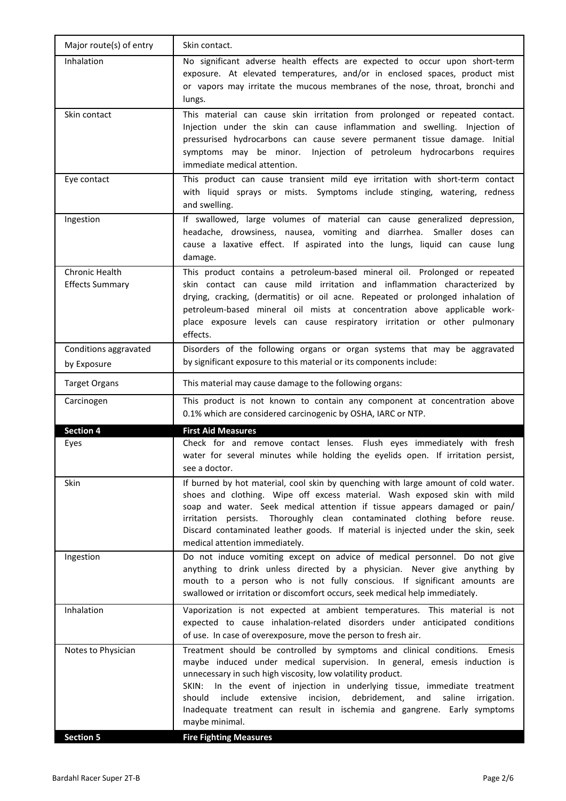| Major route(s) of entry                  | Skin contact.                                                                                                                                                                                                                                                                                                                                                                                                                                                                             |
|------------------------------------------|-------------------------------------------------------------------------------------------------------------------------------------------------------------------------------------------------------------------------------------------------------------------------------------------------------------------------------------------------------------------------------------------------------------------------------------------------------------------------------------------|
| Inhalation                               | No significant adverse health effects are expected to occur upon short-term<br>exposure. At elevated temperatures, and/or in enclosed spaces, product mist<br>or vapors may irritate the mucous membranes of the nose, throat, bronchi and<br>lungs.                                                                                                                                                                                                                                      |
| Skin contact                             | This material can cause skin irritation from prolonged or repeated contact.<br>Injection under the skin can cause inflammation and swelling. Injection of<br>pressurised hydrocarbons can cause severe permanent tissue damage. Initial<br>symptoms may be minor. Injection of petroleum hydrocarbons requires<br>immediate medical attention.                                                                                                                                            |
| Eye contact                              | This product can cause transient mild eye irritation with short-term contact<br>with liquid sprays or mists. Symptoms include stinging, watering, redness<br>and swelling.                                                                                                                                                                                                                                                                                                                |
| Ingestion                                | If swallowed, large volumes of material can cause generalized depression,<br>headache, drowsiness, nausea, vomiting and diarrhea. Smaller doses can<br>cause a laxative effect. If aspirated into the lungs, liquid can cause lung<br>damage.                                                                                                                                                                                                                                             |
| Chronic Health<br><b>Effects Summary</b> | This product contains a petroleum-based mineral oil. Prolonged or repeated<br>skin contact can cause mild irritation and inflammation characterized by<br>drying, cracking, (dermatitis) or oil acne. Repeated or prolonged inhalation of<br>petroleum-based mineral oil mists at concentration above applicable work-<br>place exposure levels can cause respiratory irritation or other pulmonary<br>effects.                                                                           |
| Conditions aggravated<br>by Exposure     | Disorders of the following organs or organ systems that may be aggravated<br>by significant exposure to this material or its components include:                                                                                                                                                                                                                                                                                                                                          |
| <b>Target Organs</b>                     | This material may cause damage to the following organs:                                                                                                                                                                                                                                                                                                                                                                                                                                   |
| Carcinogen                               | This product is not known to contain any component at concentration above<br>0.1% which are considered carcinogenic by OSHA, IARC or NTP.                                                                                                                                                                                                                                                                                                                                                 |
| <b>Section 4</b>                         | <b>First Aid Measures</b>                                                                                                                                                                                                                                                                                                                                                                                                                                                                 |
| Eyes                                     | Check for and remove contact lenses. Flush eyes immediately with fresh<br>water for several minutes while holding the eyelids open. If irritation persist,<br>see a doctor.                                                                                                                                                                                                                                                                                                               |
| Skin                                     | If burned by hot material, cool skin by quenching with large amount of cold water.<br>shoes and clothing. Wipe off excess material. Wash exposed skin with mild<br>soap and water. Seek medical attention if tissue appears damaged or pain/<br>irritation persists. Thoroughly clean contaminated clothing before reuse.<br>Discard contaminated leather goods. If material is injected under the skin, seek<br>medical attention immediately.                                           |
| Ingestion                                | Do not induce vomiting except on advice of medical personnel. Do not give<br>anything to drink unless directed by a physician. Never give anything by<br>mouth to a person who is not fully conscious. If significant amounts are<br>swallowed or irritation or discomfort occurs, seek medical help immediately.                                                                                                                                                                         |
| Inhalation                               | Vaporization is not expected at ambient temperatures. This material is not<br>expected to cause inhalation-related disorders under anticipated conditions<br>of use. In case of overexposure, move the person to fresh air.                                                                                                                                                                                                                                                               |
| Notes to Physician                       | Treatment should be controlled by symptoms and clinical conditions.<br>Emesis<br>maybe induced under medical supervision. In general, emesis induction is<br>unnecessary in such high viscosity, low volatility product.<br>SKIN: In the event of injection in underlying tissue, immediate treatment<br>include extensive incision, debridement,<br>should<br>and<br>saline<br>irrigation.<br>Inadequate treatment can result in ischemia and gangrene. Early symptoms<br>maybe minimal. |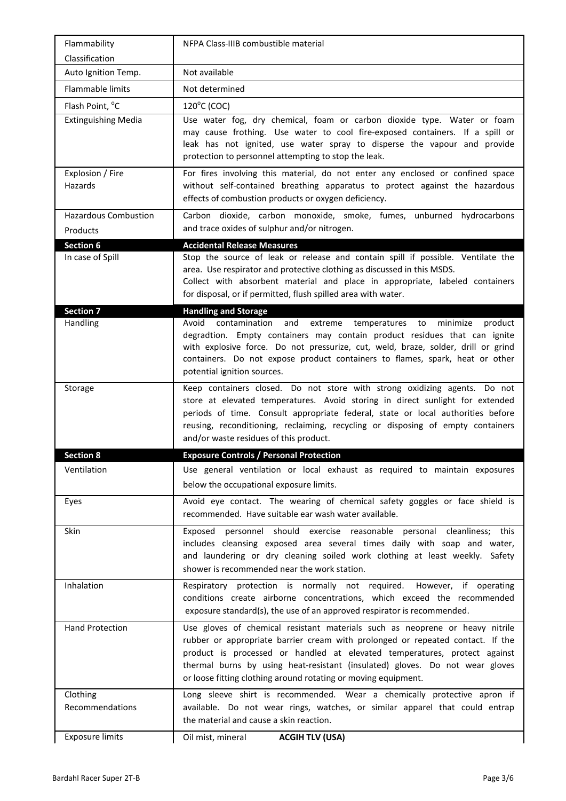| NFPA Class-IIIB combustible material                                                                                                                                                                                                                                                                                                                                                          |
|-----------------------------------------------------------------------------------------------------------------------------------------------------------------------------------------------------------------------------------------------------------------------------------------------------------------------------------------------------------------------------------------------|
|                                                                                                                                                                                                                                                                                                                                                                                               |
| Not available                                                                                                                                                                                                                                                                                                                                                                                 |
| Not determined                                                                                                                                                                                                                                                                                                                                                                                |
| $120^{\circ}$ C (COC)                                                                                                                                                                                                                                                                                                                                                                         |
| Use water fog, dry chemical, foam or carbon dioxide type. Water or foam<br>may cause frothing. Use water to cool fire-exposed containers. If a spill or<br>leak has not ignited, use water spray to disperse the vapour and provide<br>protection to personnel attempting to stop the leak.                                                                                                   |
| For fires involving this material, do not enter any enclosed or confined space<br>without self-contained breathing apparatus to protect against the hazardous<br>effects of combustion products or oxygen deficiency.                                                                                                                                                                         |
| Carbon dioxide, carbon monoxide, smoke, fumes, unburned hydrocarbons<br>and trace oxides of sulphur and/or nitrogen.                                                                                                                                                                                                                                                                          |
| <b>Accidental Release Measures</b>                                                                                                                                                                                                                                                                                                                                                            |
| Stop the source of leak or release and contain spill if possible. Ventilate the<br>area. Use respirator and protective clothing as discussed in this MSDS.<br>Collect with absorbent material and place in appropriate, labeled containers<br>for disposal, or if permitted, flush spilled area with water.                                                                                   |
| <b>Handling and Storage</b>                                                                                                                                                                                                                                                                                                                                                                   |
| Avoid contamination and<br>extreme<br>temperatures<br>to<br>minimize<br>product<br>degradtion. Empty containers may contain product residues that can ignite<br>with explosive force. Do not pressurize, cut, weld, braze, solder, drill or grind<br>containers. Do not expose product containers to flames, spark, heat or other<br>potential ignition sources.                              |
| Keep containers closed. Do not store with strong oxidizing agents. Do not<br>store at elevated temperatures. Avoid storing in direct sunlight for extended<br>periods of time. Consult appropriate federal, state or local authorities before<br>reusing, reconditioning, reclaiming, recycling or disposing of empty containers<br>and/or waste residues of this product.                    |
|                                                                                                                                                                                                                                                                                                                                                                                               |
| <b>Exposure Controls / Personal Protection</b>                                                                                                                                                                                                                                                                                                                                                |
| Use general ventilation or local exhaust as required to maintain exposures<br>below the occupational exposure limits.                                                                                                                                                                                                                                                                         |
| Avoid eye contact. The wearing of chemical safety goggles or face shield is<br>recommended. Have suitable ear wash water available.                                                                                                                                                                                                                                                           |
| personnel should exercise reasonable personal cleanliness; this<br>Exposed<br>includes cleansing exposed area several times daily with soap and water,<br>and laundering or dry cleaning soiled work clothing at least weekly. Safety<br>shower is recommended near the work station.                                                                                                         |
| Respiratory protection is normally not required. However, if operating<br>conditions create airborne concentrations, which exceed the recommended<br>exposure standard(s), the use of an approved respirator is recommended.                                                                                                                                                                  |
| Use gloves of chemical resistant materials such as neoprene or heavy nitrile<br>rubber or appropriate barrier cream with prolonged or repeated contact. If the<br>product is processed or handled at elevated temperatures, protect against<br>thermal burns by using heat-resistant (insulated) gloves. Do not wear gloves<br>or loose fitting clothing around rotating or moving equipment. |
| Long sleeve shirt is recommended. Wear a chemically protective apron if<br>available. Do not wear rings, watches, or similar apparel that could entrap<br>the material and cause a skin reaction.                                                                                                                                                                                             |
|                                                                                                                                                                                                                                                                                                                                                                                               |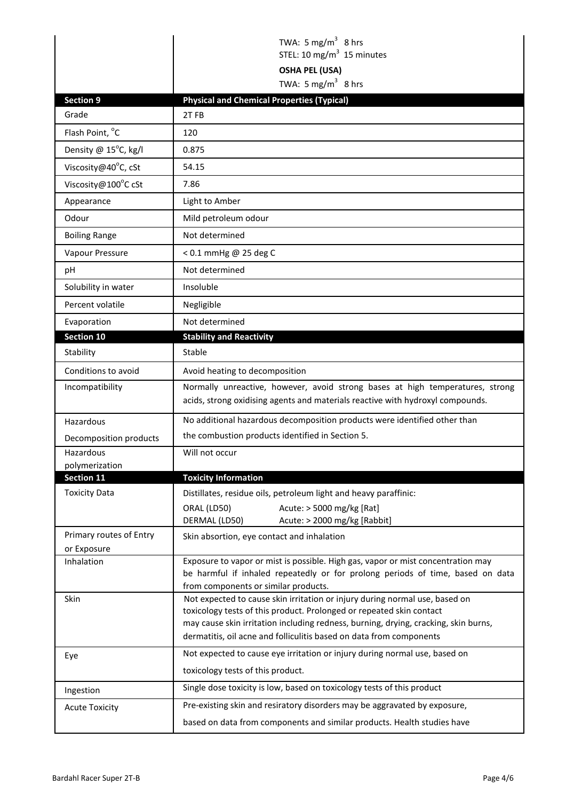|                                        | TWA: 5 mg/m <sup>3</sup> 8 hrs                                                                                                                                                                                                                                                                                    |
|----------------------------------------|-------------------------------------------------------------------------------------------------------------------------------------------------------------------------------------------------------------------------------------------------------------------------------------------------------------------|
|                                        | STEL: 10 mg/m <sup>3</sup> 15 minutes                                                                                                                                                                                                                                                                             |
|                                        | <b>OSHA PEL (USA)</b>                                                                                                                                                                                                                                                                                             |
|                                        | TWA: 5 mg/m <sup>3</sup> 8 hrs                                                                                                                                                                                                                                                                                    |
| <b>Section 9</b>                       | <b>Physical and Chemical Properties (Typical)</b>                                                                                                                                                                                                                                                                 |
| Grade                                  | 2TFB                                                                                                                                                                                                                                                                                                              |
| Flash Point, °C                        | 120                                                                                                                                                                                                                                                                                                               |
| Density @ 15°C, kg/l                   | 0.875                                                                                                                                                                                                                                                                                                             |
| Viscosity@40°C, cSt                    | 54.15                                                                                                                                                                                                                                                                                                             |
| Viscosity@100°C cSt                    | 7.86                                                                                                                                                                                                                                                                                                              |
| Appearance                             | Light to Amber                                                                                                                                                                                                                                                                                                    |
| Odour                                  | Mild petroleum odour                                                                                                                                                                                                                                                                                              |
| <b>Boiling Range</b>                   | Not determined                                                                                                                                                                                                                                                                                                    |
| Vapour Pressure                        | < 0.1 mmHg @ 25 deg C                                                                                                                                                                                                                                                                                             |
| рH                                     | Not determined                                                                                                                                                                                                                                                                                                    |
| Solubility in water                    | Insoluble                                                                                                                                                                                                                                                                                                         |
| Percent volatile                       | Negligible                                                                                                                                                                                                                                                                                                        |
| Evaporation                            | Not determined                                                                                                                                                                                                                                                                                                    |
| <b>Section 10</b>                      | <b>Stability and Reactivity</b>                                                                                                                                                                                                                                                                                   |
| Stability                              | Stable                                                                                                                                                                                                                                                                                                            |
| Conditions to avoid                    | Avoid heating to decomposition                                                                                                                                                                                                                                                                                    |
| Incompatibility                        | Normally unreactive, however, avoid strong bases at high temperatures, strong<br>acids, strong oxidising agents and materials reactive with hydroxyl compounds.                                                                                                                                                   |
| Hazardous                              | No additional hazardous decomposition products were identified other than                                                                                                                                                                                                                                         |
| Decomposition products                 | the combustion products identified in Section 5.                                                                                                                                                                                                                                                                  |
| Hazardous                              | Will not occur                                                                                                                                                                                                                                                                                                    |
| polymerization                         |                                                                                                                                                                                                                                                                                                                   |
| Section 11<br><b>Toxicity Data</b>     | <b>Toxicity Information</b><br>Distillates, residue oils, petroleum light and heavy paraffinic:                                                                                                                                                                                                                   |
|                                        | Acute: > 5000 mg/kg [Rat]<br>ORAL (LD50)                                                                                                                                                                                                                                                                          |
|                                        | DERMAL (LD50)<br>Acute: > 2000 mg/kg [Rabbit]                                                                                                                                                                                                                                                                     |
| Primary routes of Entry<br>or Exposure | Skin absortion, eye contact and inhalation                                                                                                                                                                                                                                                                        |
| Inhalation                             | Exposure to vapor or mist is possible. High gas, vapor or mist concentration may<br>be harmful if inhaled repeatedly or for prolong periods of time, based on data<br>from components or similar products.                                                                                                        |
| Skin                                   | Not expected to cause skin irritation or injury during normal use, based on<br>toxicology tests of this product. Prolonged or repeated skin contact<br>may cause skin irritation including redness, burning, drying, cracking, skin burns,<br>dermatitis, oil acne and folliculitis based on data from components |
| Eye                                    | Not expected to cause eye irritation or injury during normal use, based on<br>toxicology tests of this product.                                                                                                                                                                                                   |
| Ingestion                              | Single dose toxicity is low, based on toxicology tests of this product                                                                                                                                                                                                                                            |
| <b>Acute Toxicity</b>                  |                                                                                                                                                                                                                                                                                                                   |
|                                        | Pre-existing skin and resiratory disorders may be aggravated by exposure,                                                                                                                                                                                                                                         |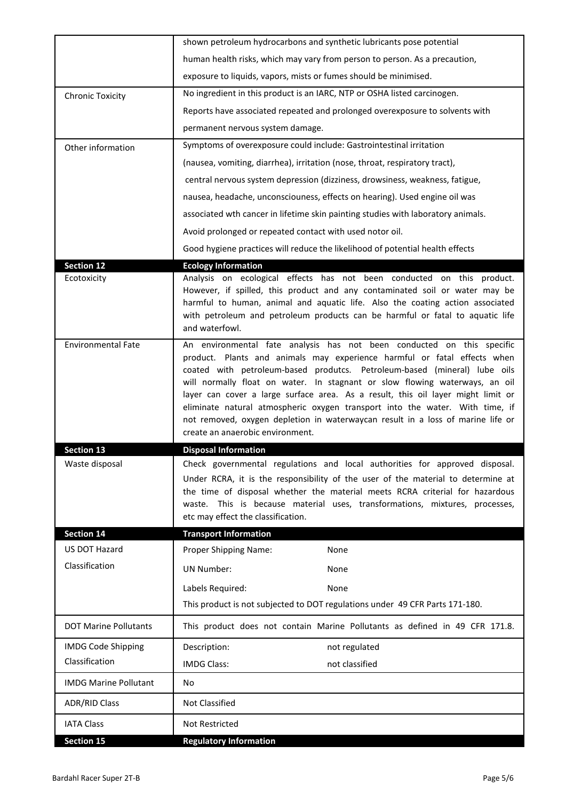|                              | shown petroleum hydrocarbons and synthetic lubricants pose potential                                                                                                                                                                                                                                                                                                                                                                                                                                                                                                                                      |
|------------------------------|-----------------------------------------------------------------------------------------------------------------------------------------------------------------------------------------------------------------------------------------------------------------------------------------------------------------------------------------------------------------------------------------------------------------------------------------------------------------------------------------------------------------------------------------------------------------------------------------------------------|
|                              | human health risks, which may vary from person to person. As a precaution,                                                                                                                                                                                                                                                                                                                                                                                                                                                                                                                                |
|                              | exposure to liquids, vapors, mists or fumes should be minimised.                                                                                                                                                                                                                                                                                                                                                                                                                                                                                                                                          |
| <b>Chronic Toxicity</b>      | No ingredient in this product is an IARC, NTP or OSHA listed carcinogen.                                                                                                                                                                                                                                                                                                                                                                                                                                                                                                                                  |
|                              | Reports have associated repeated and prolonged overexposure to solvents with                                                                                                                                                                                                                                                                                                                                                                                                                                                                                                                              |
|                              | permanent nervous system damage.                                                                                                                                                                                                                                                                                                                                                                                                                                                                                                                                                                          |
| Other information            | Symptoms of overexposure could include: Gastrointestinal irritation                                                                                                                                                                                                                                                                                                                                                                                                                                                                                                                                       |
|                              | (nausea, vomiting, diarrhea), irritation (nose, throat, respiratory tract),                                                                                                                                                                                                                                                                                                                                                                                                                                                                                                                               |
|                              | central nervous system depression (dizziness, drowsiness, weakness, fatigue,                                                                                                                                                                                                                                                                                                                                                                                                                                                                                                                              |
|                              | nausea, headache, unconsciouness, effects on hearing). Used engine oil was                                                                                                                                                                                                                                                                                                                                                                                                                                                                                                                                |
|                              | associated wth cancer in lifetime skin painting studies with laboratory animals.                                                                                                                                                                                                                                                                                                                                                                                                                                                                                                                          |
|                              | Avoid prolonged or repeated contact with used notor oil.                                                                                                                                                                                                                                                                                                                                                                                                                                                                                                                                                  |
|                              | Good hygiene practices will reduce the likelihood of potential health effects                                                                                                                                                                                                                                                                                                                                                                                                                                                                                                                             |
| <b>Section 12</b>            | <b>Ecology Information</b>                                                                                                                                                                                                                                                                                                                                                                                                                                                                                                                                                                                |
| Ecotoxicity                  | Analysis on ecological effects has not been conducted on this product.<br>However, if spilled, this product and any contaminated soil or water may be<br>harmful to human, animal and aquatic life. Also the coating action associated<br>with petroleum and petroleum products can be harmful or fatal to aquatic life<br>and waterfowl.                                                                                                                                                                                                                                                                 |
| <b>Environmental Fate</b>    | An environmental fate analysis has not been conducted on this specific<br>product. Plants and animals may experience harmful or fatal effects when<br>coated with petroleum-based produtcs. Petroleum-based (mineral) lube oils<br>will normally float on water. In stagnant or slow flowing waterways, an oil<br>layer can cover a large surface area. As a result, this oil layer might limit or<br>eliminate natural atmospheric oxygen transport into the water. With time, if<br>not removed, oxygen depletion in waterwaycan result in a loss of marine life or<br>create an anaerobic environment. |
| <b>Section 13</b>            | <b>Disposal Information</b>                                                                                                                                                                                                                                                                                                                                                                                                                                                                                                                                                                               |
| Waste disposal               | Check governmental regulations and local authorities for approved disposal.<br>Under RCRA, it is the responsibility of the user of the material to determine at<br>the time of disposal whether the material meets RCRA criterial for hazardous<br>waste. This is because material uses, transformations, mixtures, processes,<br>etc may effect the classification.                                                                                                                                                                                                                                      |
| <b>Section 14</b>            | <b>Transport Information</b>                                                                                                                                                                                                                                                                                                                                                                                                                                                                                                                                                                              |
| US DOT Hazard                | Proper Shipping Name:<br>None                                                                                                                                                                                                                                                                                                                                                                                                                                                                                                                                                                             |
| Classification               | <b>UN Number:</b><br>None                                                                                                                                                                                                                                                                                                                                                                                                                                                                                                                                                                                 |
|                              | Labels Required:<br>None                                                                                                                                                                                                                                                                                                                                                                                                                                                                                                                                                                                  |
|                              | This product is not subjected to DOT regulations under 49 CFR Parts 171-180.                                                                                                                                                                                                                                                                                                                                                                                                                                                                                                                              |
| <b>DOT Marine Pollutants</b> | This product does not contain Marine Pollutants as defined in 49 CFR 171.8.                                                                                                                                                                                                                                                                                                                                                                                                                                                                                                                               |
| <b>IMDG Code Shipping</b>    | Description:<br>not regulated                                                                                                                                                                                                                                                                                                                                                                                                                                                                                                                                                                             |
| Classification               | <b>IMDG Class:</b><br>not classified                                                                                                                                                                                                                                                                                                                                                                                                                                                                                                                                                                      |
| <b>IMDG Marine Pollutant</b> | No                                                                                                                                                                                                                                                                                                                                                                                                                                                                                                                                                                                                        |
| <b>ADR/RID Class</b>         | <b>Not Classified</b>                                                                                                                                                                                                                                                                                                                                                                                                                                                                                                                                                                                     |
| <b>IATA Class</b>            | Not Restricted                                                                                                                                                                                                                                                                                                                                                                                                                                                                                                                                                                                            |
| <b>Section 15</b>            | <b>Regulatory Information</b>                                                                                                                                                                                                                                                                                                                                                                                                                                                                                                                                                                             |